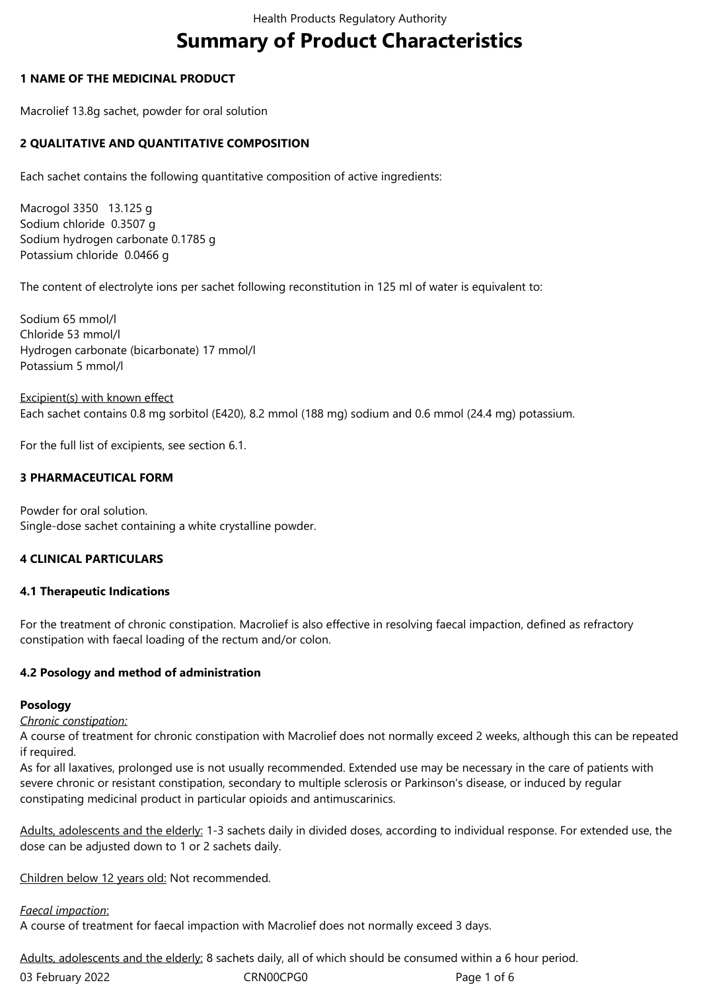# **Summary of Product Characteristics**

## **1 NAME OF THE MEDICINAL PRODUCT**

Macrolief 13.8g sachet, powder for oral solution

## **2 QUALITATIVE AND QUANTITATIVE COMPOSITION**

Each sachet contains the following quantitative composition of active ingredients:

Macrogol 3350 13.125 g Sodium chloride 0.3507 g Sodium hydrogen carbonate 0.1785 g Potassium chloride 0.0466 g

The content of electrolyte ions per sachet following reconstitution in 125 ml of water is equivalent to:

Sodium 65 mmol/l Chloride 53 mmol/l Hydrogen carbonate (bicarbonate) 17 mmol/l Potassium 5 mmol/l

Excipient(s) with known effect Each sachet contains 0.8 mg sorbitol (E420), 8.2 mmol (188 mg) sodium and 0.6 mmol (24.4 mg) potassium.

For the full list of excipients, see section 6.1.

## **3 PHARMACEUTICAL FORM**

Powder for oral solution. Single-dose sachet containing a white crystalline powder.

#### **4 CLINICAL PARTICULARS**

#### **4.1 Therapeutic Indications**

For the treatment of chronic constipation. Macrolief is also effective in resolving faecal impaction, defined as refractory constipation with faecal loading of the rectum and/or colon.

#### **4.2 Posology and method of administration**

#### **Posology**

*Chronic constipation:*

A course of treatment for chronic constipation with Macrolief does not normally exceed 2 weeks, although this can be repeated if required.

As for all laxatives, prolonged use is not usually recommended. Extended use may be necessary in the care of patients with severe chronic or resistant constipation, secondary to multiple sclerosis or Parkinson's disease, or induced by regular constipating medicinal product in particular opioids and antimuscarinics.

Adults, adolescents and the elderly: 1-3 sachets daily in divided doses, according to individual response. For extended use, the dose can be adjusted down to 1 or 2 sachets daily.

Children below 12 years old: Not recommended.

#### *Faecal impaction*:

A course of treatment for faecal impaction with Macrolief does not normally exceed 3 days.

Adults, adolescents and the elderly: 8 sachets daily, all of which should be consumed within a 6 hour period.

03 February 2022 CRN00CPG0 CRNO0CPG0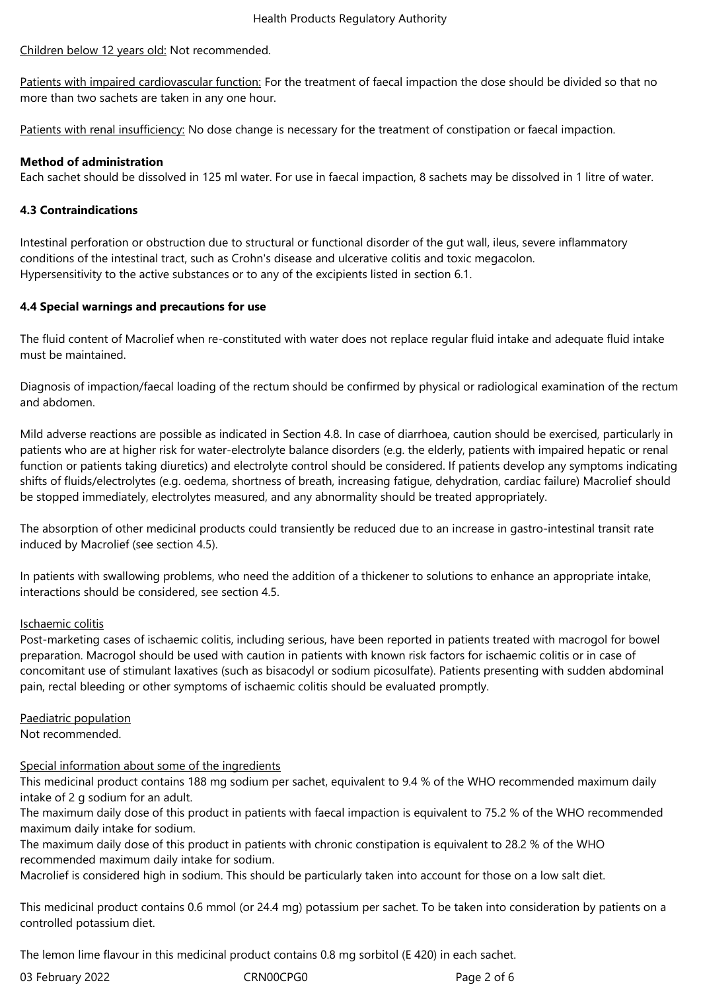## Children below 12 years old: Not recommended.

Patients with impaired cardiovascular function: For the treatment of faecal impaction the dose should be divided so that no more than two sachets are taken in any one hour.

Patients with renal insufficiency: No dose change is necessary for the treatment of constipation or faecal impaction.

#### **Method of administration**

Each sachet should be dissolved in 125 ml water. For use in faecal impaction, 8 sachets may be dissolved in 1 litre of water.

#### **4.3 Contraindications**

Intestinal perforation or obstruction due to structural or functional disorder of the gut wall, ileus, severe inflammatory conditions of the intestinal tract, such as Crohn's disease and ulcerative colitis and toxic megacolon. Hypersensitivity to the active substances or to any of the excipients listed in section 6.1.

## **4.4 Special warnings and precautions for use**

The fluid content of Macrolief when re-constituted with water does not replace regular fluid intake and adequate fluid intake must be maintained.

Diagnosis of impaction/faecal loading of the rectum should be confirmed by physical or radiological examination of the rectum and abdomen.

Mild adverse reactions are possible as indicated in Section 4.8. In case of diarrhoea, caution should be exercised, particularly in patients who are at higher risk for water-electrolyte balance disorders (e.g. the elderly, patients with impaired hepatic or renal function or patients taking diuretics) and electrolyte control should be considered. If patients develop any symptoms indicating shifts of fluids/electrolytes (e.g. oedema, shortness of breath, increasing fatigue, dehydration, cardiac failure) Macrolief should be stopped immediately, electrolytes measured, and any abnormality should be treated appropriately.

The absorption of other medicinal products could transiently be reduced due to an increase in gastro-intestinal transit rate induced by Macrolief (see section 4.5).

In patients with swallowing problems, who need the addition of a thickener to solutions to enhance an appropriate intake, interactions should be considered, see section 4.5.

#### Ischaemic colitis

Post-marketing cases of ischaemic colitis, including serious, have been reported in patients treated with macrogol for bowel preparation. Macrogol should be used with caution in patients with known risk factors for ischaemic colitis or in case of concomitant use of stimulant laxatives (such as bisacodyl or sodium picosulfate). Patients presenting with sudden abdominal pain, rectal bleeding or other symptoms of ischaemic colitis should be evaluated promptly.

## Paediatric population

Not recommended.

## Special information about some of the ingredients

This medicinal product contains 188 mg sodium per sachet, equivalent to 9.4 % of the WHO recommended maximum daily intake of 2 g sodium for an adult.

The maximum daily dose of this product in patients with faecal impaction is equivalent to 75.2 % of the WHO recommended maximum daily intake for sodium.

The maximum daily dose of this product in patients with chronic constipation is equivalent to 28.2 % of the WHO recommended maximum daily intake for sodium.

Macrolief is considered high in sodium. This should be particularly taken into account for those on a low salt diet.

This medicinal product contains 0.6 mmol (or 24.4 mg) potassium per sachet. To be taken into consideration by patients on a controlled potassium diet.

The lemon lime flavour in this medicinal product contains 0.8 mg sorbitol (E 420) in each sachet.

| 03 February 2022 | CRN00CPG0 |
|------------------|-----------|
|------------------|-----------|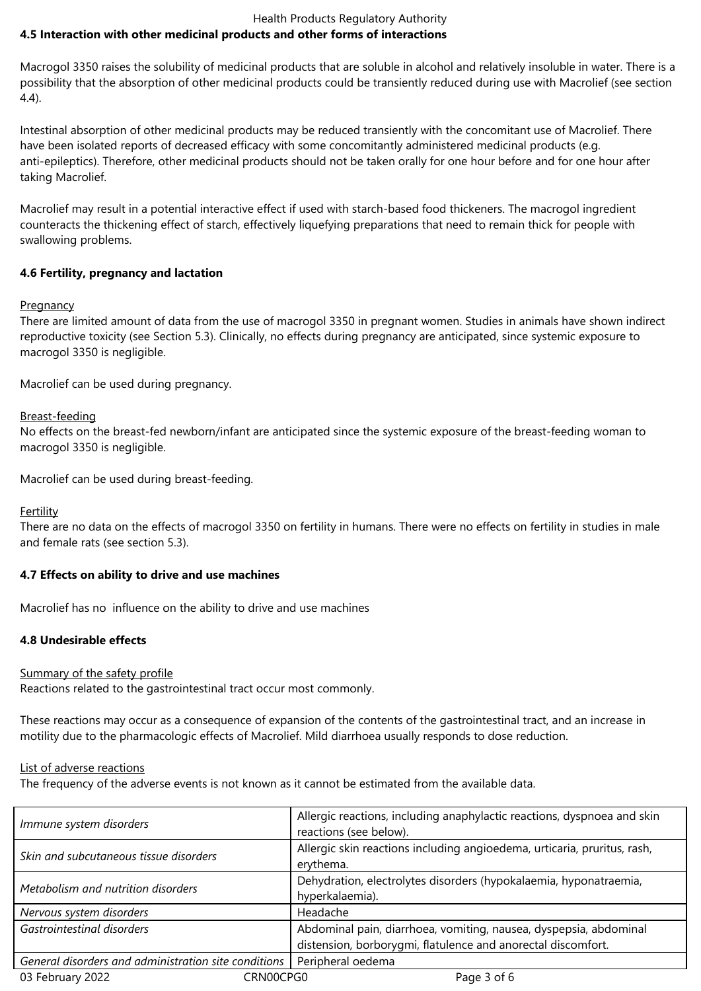#### Health Products Regulatory Authority **4.5 Interaction with other medicinal products and other forms of interactions**

Macrogol 3350 raises the solubility of medicinal products that are soluble in alcohol and relatively insoluble in water. There is a possibility that the absorption of other medicinal products could be transiently reduced during use with Macrolief (see section 4.4).

Intestinal absorption of other medicinal products may be reduced transiently with the concomitant use of Macrolief. There have been isolated reports of decreased efficacy with some concomitantly administered medicinal products (e.g. anti-epileptics). Therefore, other medicinal products should not be taken orally for one hour before and for one hour after taking Macrolief.

Macrolief may result in a potential interactive effect if used with starch-based food thickeners. The macrogol ingredient counteracts the thickening effect of starch, effectively liquefying preparations that need to remain thick for people with swallowing problems.

# **4.6 Fertility, pregnancy and lactation**

# Pregnancy

There are limited amount of data from the use of macrogol 3350 in pregnant women. Studies in animals have shown indirect reproductive toxicity (see Section 5.3). Clinically, no effects during pregnancy are anticipated, since systemic exposure to macrogol 3350 is negligible.

Macrolief can be used during pregnancy.

# Breast-feeding

No effects on the breast-fed newborn/infant are anticipated since the systemic exposure of the breast-feeding woman to macrogol 3350 is negligible.

Macrolief can be used during breast-feeding.

# Fertility

There are no data on the effects of macrogol 3350 on fertility in humans. There were no effects on fertility in studies in male and female rats (see section 5.3).

## **4.7 Effects on ability to drive and use machines**

Macrolief has no influence on the ability to drive and use machines

# **4.8 Undesirable effects**

## Summary of the safety profile

Reactions related to the gastrointestinal tract occur most commonly.

These reactions may occur as a consequence of expansion of the contents of the gastrointestinal tract, and an increase in motility due to the pharmacologic effects of Macrolief. Mild diarrhoea usually responds to dose reduction.

## List of adverse reactions

The frequency of the adverse events is not known as it cannot be estimated from the available data.

| Immune system disorders                              | Allergic reactions, including anaphylactic reactions, dyspnoea and skin<br>reactions (see below).                                 |
|------------------------------------------------------|-----------------------------------------------------------------------------------------------------------------------------------|
| Skin and subcutaneous tissue disorders               | Allergic skin reactions including angioedema, urticaria, pruritus, rash,<br>erythema.                                             |
| Metabolism and nutrition disorders                   | Dehydration, electrolytes disorders (hypokalaemia, hyponatraemia,<br>hyperkalaemia).                                              |
| Nervous system disorders                             | Headache                                                                                                                          |
| Gastrointestinal disorders                           | Abdominal pain, diarrhoea, vomiting, nausea, dyspepsia, abdominal<br>distension, borborygmi, flatulence and anorectal discomfort. |
| General disorders and administration site conditions | Peripheral oedema                                                                                                                 |
| 03 February 2022<br>CRN00CPG0                        | Page 3 of 6                                                                                                                       |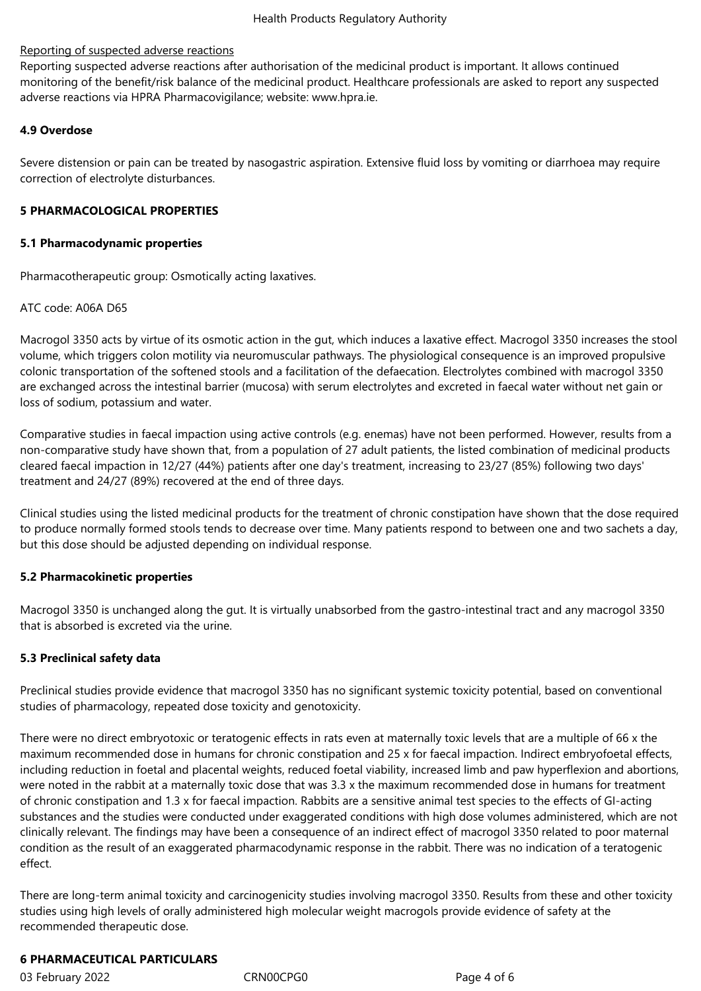## Reporting of suspected adverse reactions

Reporting suspected adverse reactions after authorisation of the medicinal product is important. It allows continued monitoring of the benefit/risk balance of the medicinal product. Healthcare professionals are asked to report any suspected adverse reactions via HPRA Pharmacovigilance; website: www.hpra.ie.

## **4.9 Overdose**

Severe distension or pain can be treated by nasogastric aspiration. Extensive fluid loss by vomiting or diarrhoea may require correction of electrolyte disturbances.

#### **5 PHARMACOLOGICAL PROPERTIES**

## **5.1 Pharmacodynamic properties**

Pharmacotherapeutic group: Osmotically acting laxatives.

## ATC code: A06A D65

Macrogol 3350 acts by virtue of its osmotic action in the gut, which induces a laxative effect. Macrogol 3350 increases the stool volume, which triggers colon motility via neuromuscular pathways. The physiological consequence is an improved propulsive colonic transportation of the softened stools and a facilitation of the defaecation. Electrolytes combined with macrogol 3350 are exchanged across the intestinal barrier (mucosa) with serum electrolytes and excreted in faecal water without net gain or loss of sodium, potassium and water.

Comparative studies in faecal impaction using active controls (e.g. enemas) have not been performed. However, results from a non-comparative study have shown that, from a population of 27 adult patients, the listed combination of medicinal products cleared faecal impaction in 12/27 (44%) patients after one day's treatment, increasing to 23/27 (85%) following two days' treatment and 24/27 (89%) recovered at the end of three days.

Clinical studies using the listed medicinal products for the treatment of chronic constipation have shown that the dose required to produce normally formed stools tends to decrease over time. Many patients respond to between one and two sachets a day, but this dose should be adjusted depending on individual response.

## **5.2 Pharmacokinetic properties**

Macrogol 3350 is unchanged along the gut. It is virtually unabsorbed from the gastro-intestinal tract and any macrogol 3350 that is absorbed is excreted via the urine.

## **5.3 Preclinical safety data**

Preclinical studies provide evidence that macrogol 3350 has no significant systemic toxicity potential, based on conventional studies of pharmacology, repeated dose toxicity and genotoxicity.

There were no direct embryotoxic or teratogenic effects in rats even at maternally toxic levels that are a multiple of 66 x the maximum recommended dose in humans for chronic constipation and 25 x for faecal impaction. Indirect embryofoetal effects, including reduction in foetal and placental weights, reduced foetal viability, increased limb and paw hyperflexion and abortions, were noted in the rabbit at a maternally toxic dose that was 3.3 x the maximum recommended dose in humans for treatment of chronic constipation and 1.3 x for faecal impaction. Rabbits are a sensitive animal test species to the effects of GI-acting substances and the studies were conducted under exaggerated conditions with high dose volumes administered, which are not clinically relevant. The findings may have been a consequence of an indirect effect of macrogol 3350 related to poor maternal condition as the result of an exaggerated pharmacodynamic response in the rabbit. There was no indication of a teratogenic effect.

There are long-term animal toxicity and carcinogenicity studies involving macrogol 3350. Results from these and other toxicity studies using high levels of orally administered high molecular weight macrogols provide evidence of safety at the recommended therapeutic dose.

## **6 PHARMACEUTICAL PARTICULARS**

03 February 2022 CRN00CPG0 CRNO0CPG0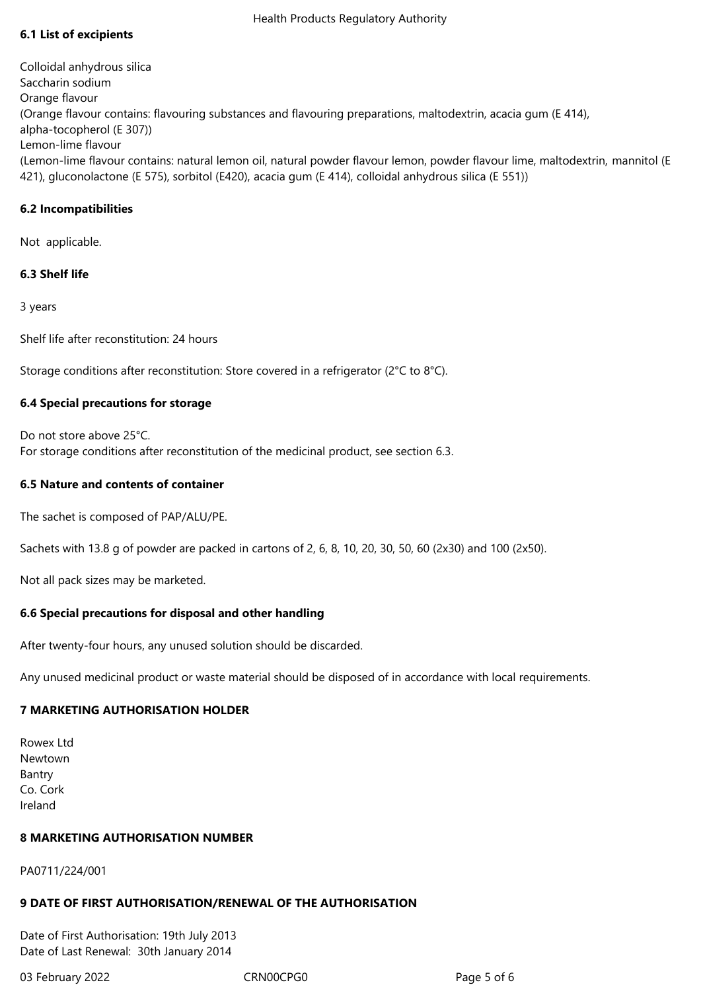# **6.1 List of excipients**

Colloidal anhydrous silica Saccharin sodium Orange flavour (Orange flavour contains: flavouring substances and flavouring preparations, maltodextrin, acacia gum (E 414), alpha-tocopherol (E 307)) Lemon-lime flavour (Lemon-lime flavour contains: natural lemon oil, natural powder flavour lemon, powder flavour lime, maltodextrin, mannitol (E 421), gluconolactone (E 575), sorbitol (E420), acacia gum (E 414), colloidal anhydrous silica (E 551))

## **6.2 Incompatibilities**

Not applicable.

## **6.3 Shelf life**

3 years

Shelf life after reconstitution: 24 hours

Storage conditions after reconstitution: Store covered in a refrigerator (2°C to 8°C).

## **6.4 Special precautions for storage**

Do not store above 25°C. For storage conditions after reconstitution of the medicinal product, see section 6.3.

## **6.5 Nature and contents of container**

The sachet is composed of PAP/ALU/PE.

Sachets with 13.8 g of powder are packed in cartons of 2, 6, 8, 10, 20, 30, 50, 60 (2x30) and 100 (2x50).

Not all pack sizes may be marketed.

## **6.6 Special precautions for disposal and other handling**

After twenty-four hours, any unused solution should be discarded.

Any unused medicinal product or waste material should be disposed of in accordance with local requirements.

## **7 MARKETING AUTHORISATION HOLDER**

Rowex Ltd Newtown Bantry Co. Cork Ireland

## **8 MARKETING AUTHORISATION NUMBER**

PA0711/224/001

## **9 DATE OF FIRST AUTHORISATION/RENEWAL OF THE AUTHORISATION**

Date of First Authorisation: 19th July 2013 Date of Last Renewal: 30th January 2014

03 February 2022 CRN00CPG0 CRNO0CPG0